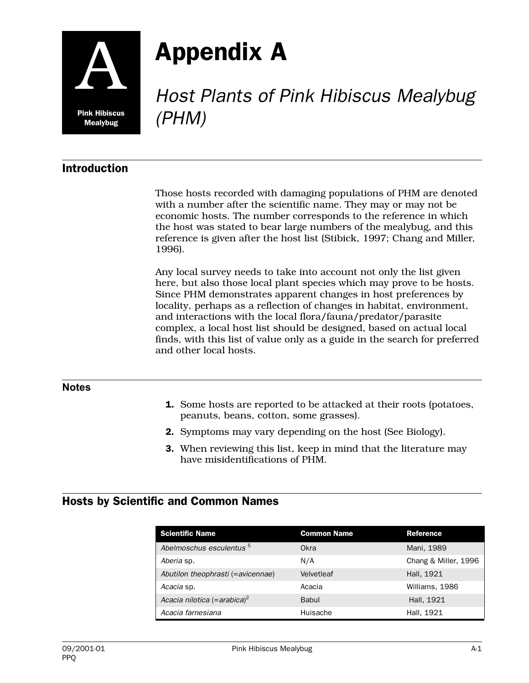

**Appendix A**<br>*Host Plants of Pink Hibiscus Mealybug (PHM)*

# **Introduction**

Those hosts recorded with damaging populations of PHM are denoted with a number after the scientific name. They may or may not be economic hosts. The number corresponds to the reference in which the host was stated to bear large numbers of the mealybug, and this reference is given after the host list (Stibick, 1997; Chang and Miller, 1996).

Any local survey needs to take into account not only the list given here, but also those local plant species which may prove to be hosts. Since PHM demonstrates apparent changes in host preferences by locality, perhaps as a reflection of changes in habitat, environment, and interactions with the local flora/fauna/predator/parasite complex, a local host list should be designed, based on actual local finds, with this list of value only as a guide in the search for preferred and other local hosts.

### **Notes**

- **1.** Some hosts are reported to be attacked at their roots (potatoes, peanuts, beans, cotton, some grasses).
- 2. Symptoms may vary depending on the host (See Biology).
- 3. When reviewing this list, keep in mind that the literature may have misidentifications of PHM.

## Hosts by Scientific and Common Names

| <b>Scientific Name</b>                   | <b>Common Name</b> | <b>Reference</b>     |
|------------------------------------------|--------------------|----------------------|
| Abelmoschus esculentus <sup>5</sup>      | Okra               | Mani, 1989           |
| Aberia sp.                               | N/A                | Chang & Miller, 1996 |
| Abutilon theophrasti (= avicennae)       | Velvetleaf         | Hall, 1921           |
| Acacia sp.                               | Acacia             | Williams, 1986       |
| Acacia nilotica (= arabica) <sup>2</sup> | Babul              | Hall, 1921           |
| Acacia farnesiana                        | Huisache           | Hall, 1921           |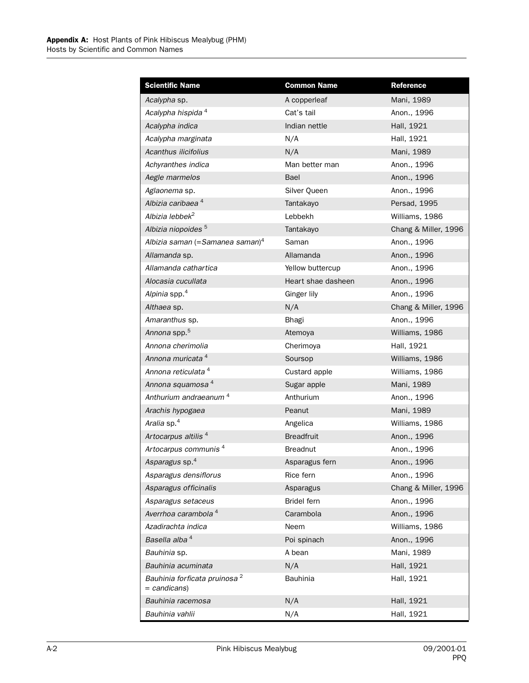| <b>Scientific Name</b>                                     | <b>Common Name</b> | <b>Reference</b>     |
|------------------------------------------------------------|--------------------|----------------------|
| Acalypha sp.                                               | A copperleaf       | Mani, 1989           |
| Acalypha hispida <sup>4</sup>                              | Cat's tail         | Anon., 1996          |
| Acalypha indica                                            | Indian nettle      | Hall, 1921           |
| Acalypha marginata                                         | N/A                | Hall, 1921           |
| Acanthus ilicifolius                                       | N/A                | Mani, 1989           |
| Achyranthes indica                                         | Man better man     | Anon., 1996          |
| Aegle marmelos                                             | Bael               | Anon., 1996          |
| Aglaonema sp.                                              | Silver Queen       | Anon., 1996          |
| Albizia caribaea <sup>4</sup>                              | Tantakayo          | Persad, 1995         |
| Albizia lebbek <sup>2</sup>                                | Lebbekh            | Williams, 1986       |
| Albizia niopoides <sup>5</sup>                             | Tantakayo          | Chang & Miller, 1996 |
| Albizia saman (=Samanea saman) <sup>4</sup>                | Saman              | Anon., 1996          |
| Allamanda sp.                                              | Allamanda          | Anon., 1996          |
| Allamanda cathartica                                       | Yellow buttercup   | Anon., 1996          |
| Alocasia cucullata                                         | Heart shae dasheen | Anon., 1996          |
| Alpinia spp. <sup>4</sup>                                  | Ginger lily        | Anon., 1996          |
| Althaea sp.                                                | N/A                | Chang & Miller, 1996 |
| Amaranthus sp.                                             | Bhagi              | Anon., 1996          |
| Annona spp. <sup>5</sup>                                   | Atemoya            | Williams, 1986       |
| Annona cherimolia                                          | Cherimoya          | Hall, 1921           |
| Annona muricata <sup>4</sup>                               | Soursop            | Williams, 1986       |
| Annona reticulata <sup>4</sup>                             | Custard apple      | Williams, 1986       |
| Annona squamosa <sup>4</sup>                               | Sugar apple        | Mani, 1989           |
| Anthurium andraeanum <sup>4</sup>                          | Anthurium          | Anon., 1996          |
| Arachis hypogaea                                           | Peanut             | Mani, 1989           |
| Aralia sp. <sup>4</sup>                                    | Angelica           | Williams, 1986       |
| Artocarpus altilis <sup>4</sup>                            | <b>Breadfruit</b>  | Anon., 1996          |
| Artocarpus communis <sup>4</sup>                           | <b>Breadnut</b>    | Anon., 1996          |
| Asparagus sp. <sup>4</sup>                                 | Asparagus fern     | Anon., 1996          |
| Asparagus densiflorus                                      | Rice fern          | Anon., 1996          |
| Asparagus officinalis                                      | Asparagus          | Chang & Miller, 1996 |
| Asparagus setaceus                                         | Bridel fern        | Anon., 1996          |
| Averrhoa carambola <sup>4</sup>                            | Carambola          | Anon., 1996          |
| Azadirachta indica                                         | Neem               | Williams, 1986       |
| Basella alba <sup>4</sup>                                  | Poi spinach        | Anon., 1996          |
| Bauhinia sp.                                               | A bean             | Mani, 1989           |
| Bauhinia acuminata                                         | N/A                | Hall, 1921           |
| Bauhinia forficata pruinosa <sup>2</sup><br>$=$ candicans) | <b>Bauhinia</b>    | Hall, 1921           |
| Bauhinia racemosa                                          | N/A                | Hall, 1921           |
| Bauhinia vahlii                                            | N/A                | Hall, 1921           |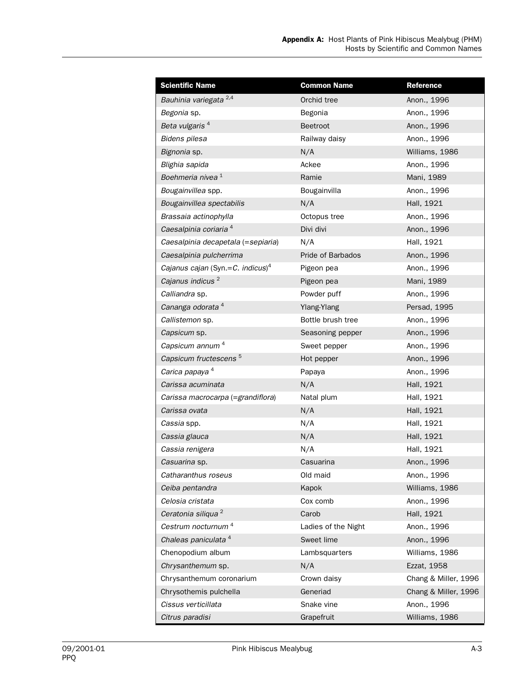| <b>Scientific Name</b>                       | <b>Common Name</b>  | Reference            |
|----------------------------------------------|---------------------|----------------------|
| Bauhinia variegata <sup>2,4</sup>            | Orchid tree         | Anon., 1996          |
| Begonia sp.                                  | Begonia             | Anon., 1996          |
| Beta vulgaris <sup>4</sup>                   | Beetroot            | Anon., 1996          |
| Bidens pilesa                                | Railway daisy       | Anon., 1996          |
| Bignonia sp.                                 | N/A                 | Williams, 1986       |
| Blighia sapida                               | Ackee               | Anon., 1996          |
| Boehmeria nivea 1                            | Ramie               | Mani, 1989           |
| Bougainvillea spp.                           | Bougainvilla        | Anon., 1996          |
| Bougainvillea spectabilis                    | N/A                 | Hall, 1921           |
| Brassaia actinophylla                        | Octopus tree        | Anon., 1996          |
| Caesalpinia coriaria <sup>4</sup>            | Divi divi           | Anon., 1996          |
| Caesalpinia decapetala (=sepiaria)           | N/A                 | Hall, 1921           |
| Caesalpinia pulcherrima                      | Pride of Barbados   | Anon., 1996          |
| Cajanus cajan (Syn.=C. indicus) <sup>4</sup> | Pigeon pea          | Anon., 1996          |
| Cajanus indicus <sup>2</sup>                 | Pigeon pea          | Mani, 1989           |
| Calliandra sp.                               | Powder puff         | Anon., 1996          |
| Cananga odorata <sup>4</sup>                 | Ylang-Ylang         | Persad, 1995         |
| Callistemon sp.                              | Bottle brush tree   | Anon., 1996          |
| Capsicum sp.                                 | Seasoning pepper    | Anon., 1996          |
| Capsicum annum <sup>4</sup>                  | Sweet pepper        | Anon., 1996          |
| Capsicum fructescens <sup>5</sup>            | Hot pepper          | Anon., 1996          |
| Carica papaya <sup>4</sup>                   | Papaya              | Anon., 1996          |
| Carissa acuminata                            | N/A                 | Hall, 1921           |
| Carissa macrocarpa (=grandiflora)            | Natal plum          | Hall, 1921           |
| Carissa ovata                                | N/A                 | Hall, 1921           |
| Cassia spp.                                  | N/A                 | Hall, 1921           |
| Cassia glauca                                | N/A                 | Hall, 1921           |
| Cassia renigera                              | N/A                 | Hall, 1921           |
| Casuarina sp.                                | Casuarina           | Anon., 1996          |
| Catharanthus roseus                          | Old maid            | Anon., 1996          |
| Ceiba pentandra                              | Kapok               | Williams, 1986       |
| Celosia cristata                             | Cox comb            | Anon., 1996          |
| Ceratonia siliqua <sup>2</sup>               | Carob               | Hall, 1921           |
| Cestrum nocturnum <sup>4</sup>               | Ladies of the Night | Anon., 1996          |
| Chaleas paniculata <sup>4</sup>              | Sweet lime          | Anon., 1996          |
| Chenopodium album                            | Lambsquarters       | Williams, 1986       |
| Chrysanthemum sp.                            | N/A                 | Ezzat, 1958          |
| Chrysanthemum coronarium                     | Crown daisy         | Chang & Miller, 1996 |
| Chrysothemis pulchella                       | Generiad            | Chang & Miller, 1996 |
| Cissus verticillata                          | Snake vine          | Anon., 1996          |
| Citrus paradisi                              | Grapefruit          | Williams, 1986       |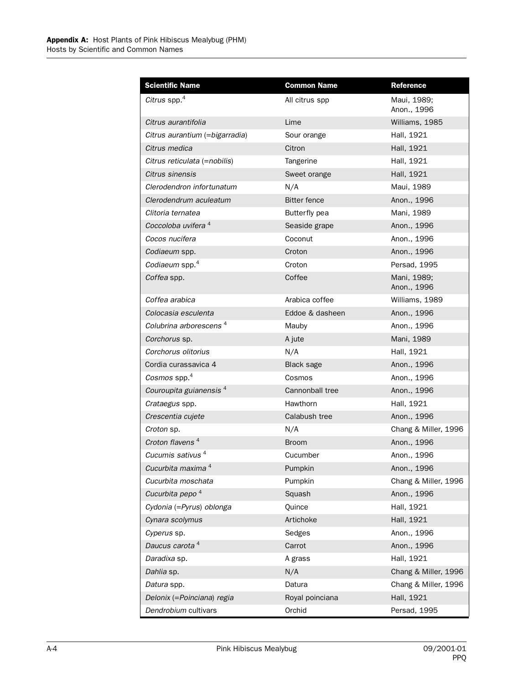| <b>Scientific Name</b>             | <b>Common Name</b>  | <b>Reference</b>           |
|------------------------------------|---------------------|----------------------------|
| Citrus spp. $4$                    | All citrus spp      | Maui, 1989;                |
|                                    |                     | Anon., 1996                |
| Citrus aurantifolia                | Lime                | Williams, 1985             |
| Citrus aurantium (= bigarradia)    | Sour orange         | Hall, 1921                 |
| Citrus medica                      | Citron              | Hall, 1921                 |
| Citrus reticulata (=nobilis)       | Tangerine           | Hall, 1921                 |
| Citrus sinensis                    | Sweet orange        | Hall, 1921                 |
| Clerodendron infortunatum          | N/A                 | Maui, 1989                 |
| Clerodendrum aculeatum             | <b>Bitter fence</b> | Anon., 1996                |
| Clitoria ternatea                  | Butterfly pea       | Mani, 1989                 |
| Coccoloba uvifera 4                | Seaside grape       | Anon., 1996                |
| Cocos nucifera                     | Coconut             | Anon., 1996                |
| Codiaeum spp.                      | Croton              | Anon., 1996                |
| Codiaeum spp. <sup>4</sup>         | Croton              | Persad, 1995               |
| Coffea spp.                        | Coffee              | Mani, 1989;<br>Anon., 1996 |
| Coffea arabica                     | Arabica coffee      | Williams, 1989             |
| Colocasia esculenta                | Eddoe & dasheen     | Anon., 1996                |
| Colubrina arborescens <sup>4</sup> | Mauby               | Anon., 1996                |
| Corchorus sp.                      | A jute              | Mani, 1989                 |
| Corchorus olitorius                | N/A                 | Hall, 1921                 |
| Cordia curassavica 4               | Black sage          | Anon., 1996                |
| Cosmos spp. $4$                    | Cosmos              | Anon., 1996                |
| Couroupita guianensis <sup>4</sup> | Cannonball tree     | Anon., 1996                |
| Crataegus spp.                     | Hawthorn            | Hall, 1921                 |
| Crescentia cujete                  | Calabush tree       | Anon., 1996                |
| Croton sp.                         | N/A                 | Chang & Miller, 1996       |
| Croton flavens <sup>4</sup>        | <b>Broom</b>        | Anon., 1996                |
| Cucumis sativus <sup>4</sup>       | Cucumber            | Anon., 1996                |
| Cucurbita maxima <sup>4</sup>      | Pumpkin             | Anon., 1996                |
| Cucurbita moschata                 | Pumpkin             | Chang & Miller, 1996       |
| Cucurbita pepo <sup>4</sup>        | Squash              | Anon., 1996                |
| Cydonia (=Pyrus) oblonga           | Quince              | Hall, 1921                 |
| Cynara scolymus                    | Artichoke           | Hall, 1921                 |
| Cyperus sp.                        | Sedges              | Anon., 1996                |
| Daucus carota <sup>4</sup>         | Carrot              | Anon., 1996                |
| Daradixa sp.                       | A grass             | Hall, 1921                 |
| Dahlia sp.                         | N/A                 | Chang & Miller, 1996       |
| Datura spp.                        | Datura              | Chang & Miller, 1996       |
| Delonix (=Poinciana) regia         | Royal poinciana     | Hall, 1921                 |
| Dendrobium cultivars               | Orchid              | Persad, 1995               |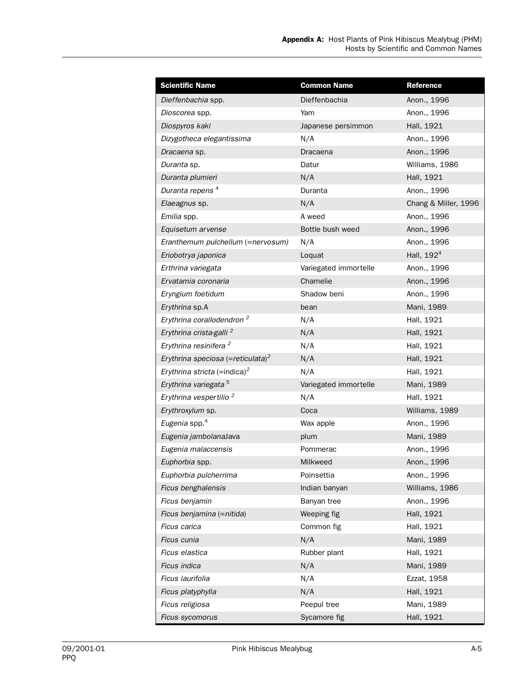| <b>Scientific Name</b>                        | <b>Common Name</b>    | <b>Reference</b>     |
|-----------------------------------------------|-----------------------|----------------------|
| Dieffenbachia spp.                            | Dieffenbachia         | Anon., 1996          |
| Dioscorea spp.                                | Yam                   | Anon., 1996          |
| Diospyros kaki                                | Japanese persimmon    | Hall, 1921           |
| Dizygotheca elegantissima                     | N/A                   | Anon., 1996          |
| <i>Dracaena</i> sp.                           | Dracaena              | Anon., 1996          |
| Duranta sp.                                   | Datur                 | Williams, 1986       |
| Duranta plumieri                              | N/A                   | Hall, 1921           |
| Duranta repens <sup>4</sup>                   | Duranta               | Anon., 1996          |
| Elaeagnus sp.                                 | N/A                   | Chang & Miller, 1996 |
| Emilia spp.                                   | A weed                | Anon., 1996          |
| Equisetum arvense                             | Bottle bush weed      | Anon., 1996          |
| Eranthemum pulchellum (=nervosum)             | N/A                   | Anon., 1996          |
| Eriobotrya japonica                           | Loquat                | Hall, $1924$         |
| Erthrina variegata                            | Variegated immortelle | Anon., 1996          |
| Ervatamia coronaria                           | Chamelie              | Anon., 1996          |
| Eryngium foetidum                             | Shadow beni           | Anon., 1996          |
| Erythrina sp.A                                | bean                  | Mani, 1989           |
| Erythrina corallodendron <sup>2</sup>         | N/A                   | Hall, 1921           |
| Erythrina crista-galli <sup>2</sup>           | N/A                   | Hall, 1921           |
| Erythrina resinifera <sup>2</sup>             | N/A                   | Hall, 1921           |
| Erythrina speciosa (=reticulata) <sup>2</sup> | N/A                   | Hall, 1921           |
| Erythrina stricta (=indica) <sup>2</sup>      | N/A                   | Hall, 1921           |
| Erythrina variegata <sup>5</sup>              | Variegated immortelle | Mani, 1989           |
| Erythrina vespertilio <sup>2</sup>            | N/A                   | Hall, 1921           |
| Erythroxylum sp.                              | Coca                  | Williams, 1989       |
| Eugenia spp. <sup>4</sup>                     | Wax apple             | Anon., 1996          |
| Eugenia jambolanaJava                         | plum                  | Mani, 1989           |
| Eugenia malaccensis                           | Pommerac              | Anon., 1996          |
| Euphorbia spp.                                | Milkweed              | Anon., 1996          |
| Euphorbia pulcherrima                         | Poinsettia            | Anon., 1996          |
| Ficus benghalensis                            | Indian banyan         | Williams, 1986       |
| Ficus benjamin                                | Banyan tree           | Anon., 1996          |
| Ficus benjamina (=nitida)                     | Weeping fig           | Hall, 1921           |
| Ficus carica                                  | Common fig            | Hall, 1921           |
| Ficus cunia                                   | N/A                   | Mani, 1989           |
| Ficus elastica                                | Rubber plant          | Hall, 1921           |
| Ficus indica                                  | N/A                   | Mani, 1989           |
| Ficus laurifolia                              | N/A                   | Ezzat, 1958          |
| Ficus platyphylla                             | N/A                   | Hall, 1921           |
| Ficus religiosa                               | Peepul tree           | Mani, 1989           |
| Ficus sycomorus                               | Sycamore fig          | Hall, 1921           |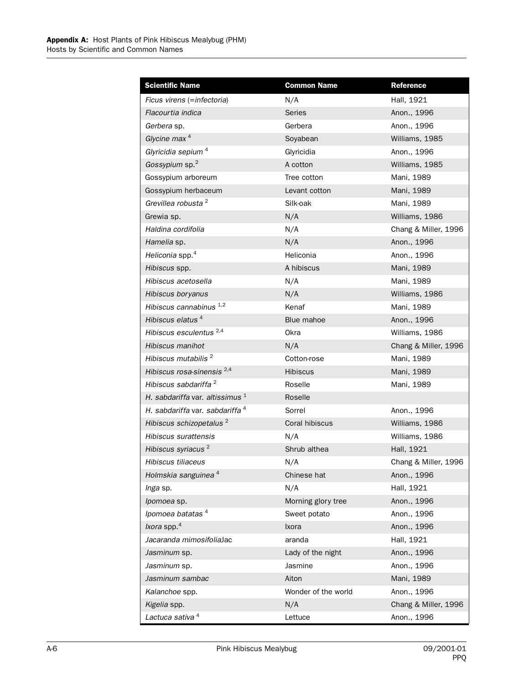| <b>Scientific Name</b>                     | <b>Common Name</b>  | <b>Reference</b>     |
|--------------------------------------------|---------------------|----------------------|
| Ficus virens (= infectoria)                | N/A                 | Hall, 1921           |
| Flacourtia indica                          | Series              | Anon., 1996          |
| Gerbera sp.                                | Gerbera             | Anon., 1996          |
| Glycine max $4$                            | Soyabean            | Williams, 1985       |
| Glyricidia sepium <sup>4</sup>             | Glyricidia          | Anon., 1996          |
| Gossypium sp. <sup>2</sup>                 | A cotton            | Williams, 1985       |
| Gossypium arboreum                         | Tree cotton         | Mani, 1989           |
| Gossypium herbaceum                        | Levant cotton       | Mani, 1989           |
| Grevillea robusta <sup>2</sup>             | Silk-oak            | Mani, 1989           |
| Grewia sp.                                 | N/A                 | Williams, 1986       |
| Haldina cordifolia                         | N/A                 | Chang & Miller, 1996 |
| Hamelia sp.                                | N/A                 | Anon., 1996          |
| Heliconia spp. <sup>4</sup>                | Heliconia           | Anon., 1996          |
| Hibiscus spp.                              | A hibiscus          | Mani, 1989           |
| Hibiscus acetosella                        | N/A                 | Mani, 1989           |
| Hibiscus boryanus                          | N/A                 | Williams, 1986       |
| Hibiscus cannabinus $1,2$                  | Kenaf               | Mani, 1989           |
| Hibiscus elatus <sup>4</sup>               | Blue mahoe          | Anon., 1996          |
| Hibiscus esculentus <sup>2,4</sup>         | Okra                | Williams, 1986       |
| Hibiscus manihot                           | N/A                 | Chang & Miller, 1996 |
| Hibiscus mutabilis <sup>2</sup>            | Cotton-rose         | Mani, 1989           |
| Hibiscus rosa-sinensis <sup>2,4</sup>      | <b>Hibiscus</b>     | Mani, 1989           |
| Hibiscus sabdariffa <sup>2</sup>           | Roselle             | Mani, 1989           |
| H. sabdariffa var. altissimus $^1$         | Roselle             |                      |
| H. sabdariffa var. sabdariffa <sup>4</sup> | Sorrel              | Anon., 1996          |
| Hibiscus schizopetalus <sup>2</sup>        | Coral hibiscus      | Williams, 1986       |
| Hibiscus surattensis                       | N/A                 | Williams, 1986       |
| Hibiscus syriacus <sup>2</sup>             | Shrub althea        | Hall, 1921           |
| Hibiscus tiliaceus                         | N/A                 | Chang & Miller, 1996 |
| Holmskia sanguinea <sup>4</sup>            | Chinese hat         | Anon., 1996          |
| <i>Inga</i> sp.                            | N/A                 | Hall, 1921           |
| Ipomoea sp.                                | Morning glory tree  | Anon., 1996          |
| Ipomoea batatas <sup>4</sup>               | Sweet potato        | Anon., 1996          |
| Ixora spp. <sup>4</sup>                    | Ixora               | Anon., 1996          |
| Jacaranda mimosifoliaJac                   | aranda              | Hall, 1921           |
| Jasminum sp.                               | Lady of the night   | Anon., 1996          |
| Jasminum sp.                               | Jasmine             | Anon., 1996          |
| Jasminum sambac                            | Aiton               | Mani, 1989           |
| Kalanchoe spp.                             | Wonder of the world | Anon., 1996          |
| Kigelia spp.                               | N/A                 | Chang & Miller, 1996 |
| Lactuca sativa 4                           | Lettuce             | Anon., 1996          |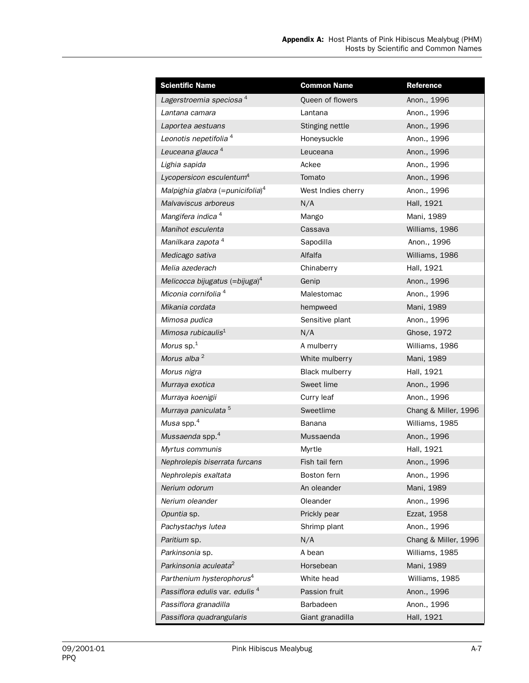| <b>Scientific Name</b>                       | <b>Common Name</b>    | Reference            |
|----------------------------------------------|-----------------------|----------------------|
| Lagerstroemia speciosa <sup>4</sup>          | Queen of flowers      | Anon., 1996          |
| Lantana camara                               | Lantana               | Anon., 1996          |
| Laportea aestuans                            | Stinging nettle       | Anon., 1996          |
| Leonotis nepetifolia <sup>4</sup>            | Honeysuckle           | Anon., 1996          |
| Leuceana glauca <sup>4</sup>                 | Leuceana              | Anon., 1996          |
| Lighia sapida                                | Ackee                 | Anon., 1996          |
| Lycopersicon esculentum <sup>4</sup>         | Tomato                | Anon., 1996          |
| Malpighia glabra (=punicifolia) <sup>4</sup> | West Indies cherry    | Anon., 1996          |
| Malvaviscus arboreus                         | N/A                   | Hall, 1921           |
| Mangifera indica <sup>4</sup>                | Mango                 | Mani, 1989           |
| Manihot esculenta                            | Cassava               | Williams, 1986       |
| Manilkara zapota <sup>4</sup>                | Sapodilla             | Anon., 1996          |
| Medicago sativa                              | Alfalfa               | Williams, 1986       |
| Melia azederach                              | Chinaberry            | Hall, 1921           |
| Melicocca bijugatus (=bijuga) <sup>4</sup>   | Genip                 | Anon., 1996          |
| Miconia cornifolia <sup>4</sup>              | Malestomac            | Anon., 1996          |
| Mikania cordata                              | hempweed              | Mani, 1989           |
| Mimosa pudica                                | Sensitive plant       | Anon., 1996          |
| Mimosa rubicaulis <sup>1</sup>               | N/A                   | Ghose, 1972          |
| Morus $sp1$                                  | A mulberry            | Williams, 1986       |
| Morus alba <sup>2</sup>                      | White mulberry        | Mani, 1989           |
| Morus nigra                                  | <b>Black mulberry</b> | Hall, 1921           |
| Murraya exotica                              | Sweet lime            | Anon., 1996          |
| Murraya koenigii                             | Curry leaf            | Anon., 1996          |
| Murraya paniculata <sup>5</sup>              | Sweetlime             | Chang & Miller, 1996 |
| Musa spp. $4$                                | Banana                | Williams, 1985       |
| Mussaenda spp. <sup>4</sup>                  | Mussaenda             | Anon., 1996          |
| Myrtus communis                              | Myrtle                | Hall, 1921           |
| Nephrolepis biserrata furcans                | Fish tail fern        | Anon., 1996          |
| Nephrolepis exaltata                         | Boston fern           | Anon., 1996          |
| Nerium odorum                                | An oleander           | Mani, 1989           |
| Nerium oleander                              | Oleander              | Anon., 1996          |
| Opuntia sp.                                  | Prickly pear          | Ezzat, 1958          |
| Pachystachys lutea                           | Shrimp plant          | Anon., 1996          |
| Paritium sp.                                 | N/A                   | Chang & Miller, 1996 |
| Parkinsonia sp.                              | A bean                | Williams, 1985       |
| Parkinsonia aculeata <sup>2</sup>            | Horsebean             | Mani, 1989           |
| Parthenium hysterophorus <sup>4</sup>        | White head            | Williams, 1985       |
| Passiflora edulis var. edulis <sup>4</sup>   | Passion fruit         | Anon., 1996          |
| Passiflora granadilla                        | Barbadeen             | Anon., 1996          |
| Passiflora quadrangularis                    | Giant granadilla      | Hall, 1921           |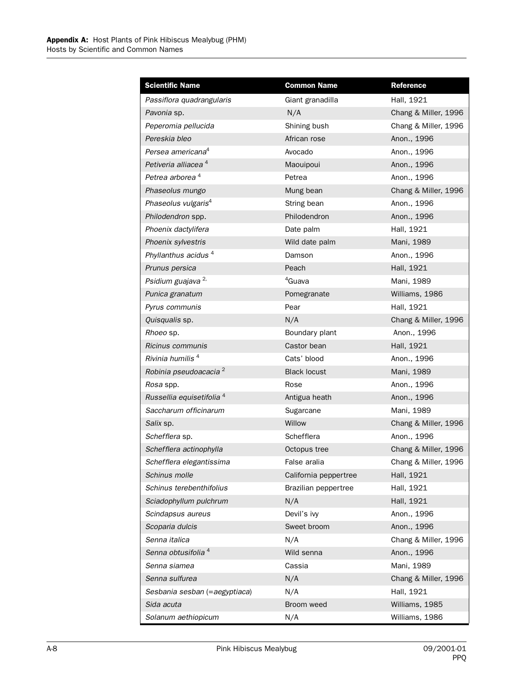| <b>Scientific Name</b>               | <b>Common Name</b>    | Reference            |
|--------------------------------------|-----------------------|----------------------|
| Passiflora quadrangularis            | Giant granadilla      | Hall, 1921           |
| Pavonia sp.                          | N/A                   | Chang & Miller, 1996 |
| Peperomia pellucida                  | Shining bush          | Chang & Miller, 1996 |
| Pereskia bleo                        | African rose          | Anon., 1996          |
| Persea americana <sup>4</sup>        | Avocado               | Anon., 1996          |
| Petiveria alliacea <sup>4</sup>      | Maouipoui             | Anon., 1996          |
| Petrea arborea <sup>4</sup>          | Petrea                | Anon., 1996          |
| Phaseolus mungo                      | Mung bean             | Chang & Miller, 1996 |
| Phaseolus vulgaris <sup>4</sup>      | String bean           | Anon., 1996          |
| Philodendron spp.                    | Philodendron          | Anon., 1996          |
| Phoenix dactylifera                  | Date palm             | Hall, 1921           |
| Phoenix sylvestris                   | Wild date palm        | Mani, 1989           |
| Phyllanthus acidus <sup>4</sup>      | Damson                | Anon., 1996          |
| Prunus persica                       | Peach                 | Hall, 1921           |
| Psidium guajava <sup>2,</sup>        | <sup>4</sup> Guava    | Mani, 1989           |
| Punica granatum                      | Pomegranate           | Williams, 1986       |
| Pyrus communis                       | Pear                  | Hall, 1921           |
| Quisqualis sp.                       | N/A                   | Chang & Miller, 1996 |
| <i>Rhoeo</i> sp.                     | Boundary plant        | Anon., 1996          |
| Ricinus communis                     | Castor bean           | Hall, 1921           |
| Rivinia humilis <sup>4</sup>         | Cats' blood           | Anon., 1996          |
| Robinia pseudoacacia <sup>2</sup>    | <b>Black locust</b>   | Mani, 1989           |
| Rosa spp.                            | Rose                  | Anon., 1996          |
| Russellia equisetifolia <sup>4</sup> | Antigua heath         | Anon., 1996          |
| Saccharum officinarum                | Sugarcane             | Mani, 1989           |
| Salix sp.                            | Willow                | Chang & Miller, 1996 |
| Schefflera sp.                       | Schefflera            | Anon., 1996          |
| Schefflera actinophylla              | Octopus tree          | Chang & Miller, 1996 |
| Schefflera elegantissima             | False aralia          | Chang & Miller, 1996 |
| Schinus molle                        | California peppertree | Hall, 1921           |
| Schinus terebenthifolius             | Brazilian peppertree  | Hall, 1921           |
| Sciadophyllum pulchrum               | N/A                   | Hall, 1921           |
| Scindapsus aureus                    | Devil's ivy           | Anon., 1996          |
| Scoparia dulcis                      | Sweet broom           | Anon., 1996          |
| Senna italica                        | N/A                   | Chang & Miller, 1996 |
| Senna obtusifolia <sup>4</sup>       | Wild senna            | Anon., 1996          |
| Senna siamea                         | Cassia                | Mani, 1989           |
| Senna sulfurea                       | N/A                   | Chang & Miller, 1996 |
| Sesbania sesban (= aegyptiaca)       | N/A                   | Hall, 1921           |
| Sida acuta                           | Broom weed            | Williams, 1985       |
| Solanum aethiopicum                  | N/A                   | Williams, 1986       |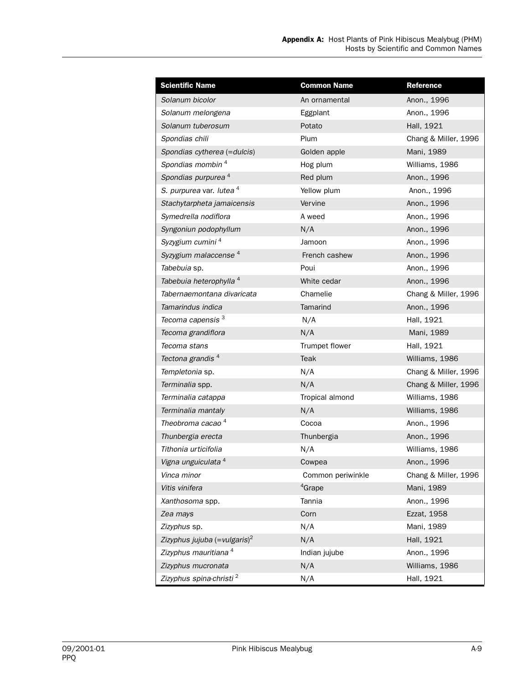| <b>Scientific Name</b>                   | <b>Common Name</b> | <b>Reference</b>     |
|------------------------------------------|--------------------|----------------------|
| Solanum bicolor                          | An ornamental      | Anon., 1996          |
| Solanum melongena                        | Eggplant           | Anon., 1996          |
| Solanum tuberosum                        | Potato             | Hall, 1921           |
| Spondias chili                           | Plum               | Chang & Miller, 1996 |
| Spondias cytherea (=dulcis)              | Golden apple       | Mani, 1989           |
| Spondias mombin <sup>4</sup>             | Hog plum           | Williams, 1986       |
| Spondias purpurea <sup>4</sup>           | Red plum           | Anon., 1996          |
| S. purpurea var. lutea 4                 | Yellow plum        | Anon., 1996          |
| Stachytarpheta jamaicensis               | Vervine            | Anon., 1996          |
| Symedrella nodiflora                     | A weed             | Anon., 1996          |
| Syngoniun podophyllum                    | N/A                | Anon., 1996          |
| Syzygium cumini <sup>4</sup>             | Jamoon             | Anon., 1996          |
| Syzygium malaccense <sup>4</sup>         | French cashew      | Anon., 1996          |
| Tabebuia sp.                             | Poui               | Anon., 1996          |
| Tabebuia heterophylla <sup>4</sup>       | White cedar        | Anon., 1996          |
| Tabernaemontana divaricata               | Chamelie           | Chang & Miller, 1996 |
| Tamarindus indica                        | Tamarind           | Anon., 1996          |
| Tecoma capensis <sup>3</sup>             | N/A                | Hall, 1921           |
| Tecoma grandiflora                       | N/A                | Mani, 1989           |
| Tecoma stans                             | Trumpet flower     | Hall, 1921           |
| Tectona grandis <sup>4</sup>             | Teak               | Williams, 1986       |
| Templetonia sp.                          | N/A                | Chang & Miller, 1996 |
| Terminalia spp.                          | N/A                | Chang & Miller, 1996 |
| Terminalia catappa                       | Tropical almond    | Williams, 1986       |
| Terminalia mantaly                       | N/A                | Williams, 1986       |
| Theobroma cacao <sup>4</sup>             | Cocoa              | Anon., 1996          |
| Thunbergia erecta                        | Thunbergia         | Anon., 1996          |
| Tithonia urticifolia                     | N/A                | Williams, 1986       |
| Vigna unguiculata <sup>4</sup>           | Cowpea             | Anon., 1996          |
| Vinca minor                              | Common periwinkle  | Chang & Miller, 1996 |
| Vitis vinifera                           | <sup>4</sup> Grape | Mani, 1989           |
| Xanthosoma spp.                          | Tannia             | Anon., 1996          |
| Zea mays                                 | Corn               | Ezzat, 1958          |
| Zizyphus sp.                             | N/A                | Mani, 1989           |
| Zizyphus jujuba (=vulgaris) <sup>2</sup> | N/A                | Hall, 1921           |
| Zizyphus mauritiana <sup>4</sup>         | Indian jujube      | Anon., 1996          |
| Zizyphus mucronata                       | N/A                | Williams, 1986       |
| Zizyphus spina-christi <sup>2</sup>      | N/A                | Hall, 1921           |